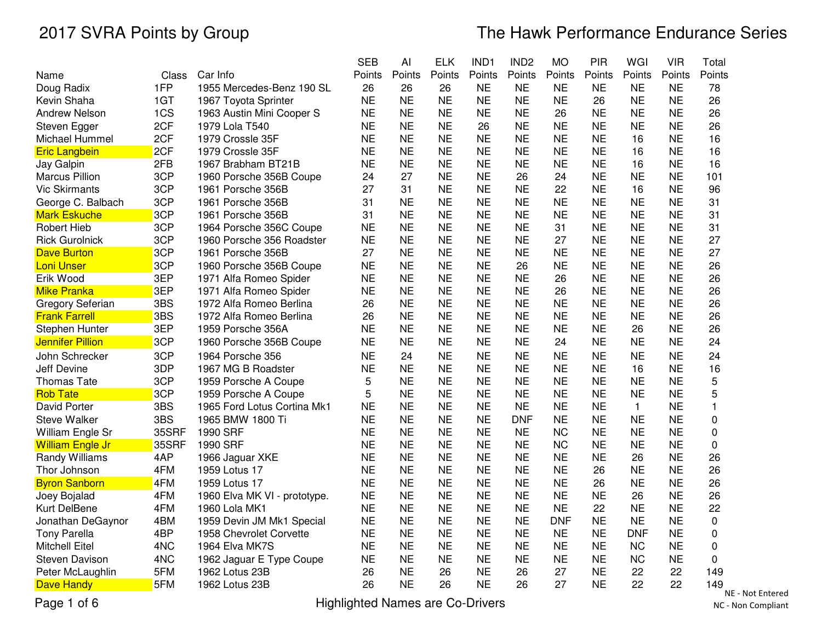|                         |       |                              | <b>SEB</b> | Al        | <b>ELK</b> | IND1      | IND <sub>2</sub> | <b>MO</b>  | PIR       | WGI          | <b>VIR</b> | Total             |
|-------------------------|-------|------------------------------|------------|-----------|------------|-----------|------------------|------------|-----------|--------------|------------|-------------------|
| Name                    | Class | Car Info                     | Points     | Points    | Points     | Points    | Points           | Points     | Points    | Points       | Points     | Points            |
| Doug Radix              | 1FP   | 1955 Mercedes-Benz 190 SL    | 26         | 26        | 26         | <b>NE</b> | <b>NE</b>        | <b>NE</b>  | <b>NE</b> | <b>NE</b>    | <b>NE</b>  | 78                |
| Kevin Shaha             | 1GT   | 1967 Toyota Sprinter         | <b>NE</b>  | <b>NE</b> | <b>NE</b>  | <b>NE</b> | <b>NE</b>        | <b>NE</b>  | 26        | <b>NE</b>    | <b>NE</b>  | 26                |
| <b>Andrew Nelson</b>    | 1CS   | 1963 Austin Mini Cooper S    | <b>NE</b>  | <b>NE</b> | <b>NE</b>  | <b>NE</b> | <b>NE</b>        | 26         | <b>NE</b> | <b>NE</b>    | <b>NE</b>  | 26                |
| Steven Egger            | 2CF   | 1979 Lola T540               | <b>NE</b>  | <b>NE</b> | <b>NE</b>  | 26        | <b>NE</b>        | <b>NE</b>  | <b>NE</b> | <b>NE</b>    | <b>NE</b>  | 26                |
| Michael Hummel          | 2CF   | 1979 Crossle 35F             | <b>NE</b>  | <b>NE</b> | <b>NE</b>  | NE        | <b>NE</b>        | <b>NE</b>  | <b>NE</b> | 16           | <b>NE</b>  | 16                |
| <b>Eric Langbein</b>    | 2CF   | 1979 Crossle 35F             | <b>NE</b>  | <b>NE</b> | <b>NE</b>  | <b>NE</b> | <b>NE</b>        | <b>NE</b>  | <b>NE</b> | 16           | <b>NE</b>  | 16                |
| Jay Galpin              | 2FB   | 1967 Brabham BT21B           | <b>NE</b>  | <b>NE</b> | <b>NE</b>  | <b>NE</b> | <b>NE</b>        | <b>NE</b>  | <b>NE</b> | 16           | <b>NE</b>  | 16                |
| <b>Marcus Pillion</b>   | 3CP   | 1960 Porsche 356B Coupe      | 24         | 27        | <b>NE</b>  | <b>NE</b> | 26               | 24         | <b>NE</b> | <b>NE</b>    | <b>NE</b>  | 101               |
| <b>Vic Skirmants</b>    | 3CP   | 1961 Porsche 356B            | 27         | 31        | <b>NE</b>  | <b>NE</b> | <b>NE</b>        | 22         | <b>NE</b> | 16           | <b>NE</b>  | 96                |
| George C. Balbach       | 3CP   | 1961 Porsche 356B            | 31         | <b>NE</b> | <b>NE</b>  | <b>NE</b> | <b>NE</b>        | <b>NE</b>  | <b>NE</b> | <b>NE</b>    | <b>NE</b>  | 31                |
| <b>Mark Eskuche</b>     | 3CP   | 1961 Porsche 356B            | 31         | <b>NE</b> | <b>NE</b>  | <b>NE</b> | <b>NE</b>        | <b>NE</b>  | <b>NE</b> | <b>NE</b>    | <b>NE</b>  | 31                |
| Robert Hieb             | 3CP   | 1964 Porsche 356C Coupe      | <b>NE</b>  | <b>NE</b> | <b>NE</b>  | <b>NE</b> | <b>NE</b>        | 31         | <b>NE</b> | <b>NE</b>    | <b>NE</b>  | 31                |
| <b>Rick Gurolnick</b>   | 3CP   | 1960 Porsche 356 Roadster    | <b>NE</b>  | <b>NE</b> | <b>NE</b>  | <b>NE</b> | <b>NE</b>        | 27         | <b>NE</b> | <b>NE</b>    | <b>NE</b>  | 27                |
| <b>Dave Burton</b>      | 3CP   | 1961 Porsche 356B            | 27         | <b>NE</b> | <b>NE</b>  | <b>NE</b> | <b>NE</b>        | <b>NE</b>  | <b>NE</b> | <b>NE</b>    | <b>NE</b>  | 27                |
| <b>Loni Unser</b>       | 3CP   | 1960 Porsche 356B Coupe      | <b>NE</b>  | <b>NE</b> | <b>NE</b>  | <b>NE</b> | 26               | <b>NE</b>  | <b>NE</b> | <b>NE</b>    | <b>NE</b>  | 26                |
| Erik Wood               | 3EP   | 1971 Alfa Romeo Spider       | <b>NE</b>  | <b>NE</b> | <b>NE</b>  | <b>NE</b> | <b>NE</b>        | 26         | <b>NE</b> | <b>NE</b>    | <b>NE</b>  | 26                |
| <b>Mike Pranka</b>      | 3EP   | 1971 Alfa Romeo Spider       | <b>NE</b>  | <b>NE</b> | <b>NE</b>  | <b>NE</b> | <b>NE</b>        | 26         | <b>NE</b> | <b>NE</b>    | <b>NE</b>  | 26                |
| Gregory Seferian        | 3BS   | 1972 Alfa Romeo Berlina      | 26         | <b>NE</b> | <b>NE</b>  | <b>NE</b> | <b>NE</b>        | <b>NE</b>  | <b>NE</b> | <b>NE</b>    | <b>NE</b>  | 26                |
| <b>Frank Farrell</b>    | 3BS   | 1972 Alfa Romeo Berlina      | 26         | <b>NE</b> | <b>NE</b>  | <b>NE</b> | <b>NE</b>        | <b>NE</b>  | <b>NE</b> | <b>NE</b>    | <b>NE</b>  | 26                |
| <b>Stephen Hunter</b>   | 3EP   | 1959 Porsche 356A            | <b>NE</b>  | <b>NE</b> | <b>NE</b>  | <b>NE</b> | <b>NE</b>        | <b>NE</b>  | <b>NE</b> | 26           | <b>NE</b>  | 26                |
| <b>Jennifer Pillion</b> | 3CP   | 1960 Porsche 356B Coupe      | <b>NE</b>  | <b>NE</b> | <b>NE</b>  | <b>NE</b> | <b>NE</b>        | 24         | <b>NE</b> | <b>NE</b>    | <b>NE</b>  | 24                |
| John Schrecker          | 3CP   | 1964 Porsche 356             | <b>NE</b>  | 24        | <b>NE</b>  | <b>NE</b> | <b>NE</b>        | <b>NE</b>  | <b>NE</b> | <b>NE</b>    | <b>NE</b>  | 24                |
| <b>Jeff Devine</b>      | 3DP   | 1967 MG B Roadster           | <b>NE</b>  | <b>NE</b> | <b>NE</b>  | <b>NE</b> | <b>NE</b>        | <b>NE</b>  | <b>NE</b> | 16           | <b>NE</b>  | 16                |
| Thomas Tate             | 3CP   | 1959 Porsche A Coupe         | 5          | <b>NE</b> | <b>NE</b>  | <b>NE</b> | <b>NE</b>        | <b>NE</b>  | <b>NE</b> | <b>NE</b>    | <b>NE</b>  | 5                 |
| <b>Rob Tate</b>         | 3CP   | 1959 Porsche A Coupe         | 5          | <b>NE</b> | <b>NE</b>  | <b>NE</b> | <b>NE</b>        | <b>NE</b>  | <b>NE</b> | <b>NE</b>    | <b>NE</b>  | 5                 |
| David Porter            | 3BS   | 1965 Ford Lotus Cortina Mk1  | <b>NE</b>  | <b>NE</b> | <b>NE</b>  | <b>NE</b> | <b>NE</b>        | <b>NE</b>  | <b>NE</b> | $\mathbf{1}$ | <b>NE</b>  | 1                 |
| <b>Steve Walker</b>     | 3BS   | 1965 BMW 1800 Ti             | <b>NE</b>  | <b>NE</b> | <b>NE</b>  | <b>NE</b> | <b>DNF</b>       | <b>NE</b>  | <b>NE</b> | <b>NE</b>    | <b>NE</b>  | 0                 |
| William Engle Sr        | 35SRF | 1990 SRF                     | <b>NE</b>  | <b>NE</b> | <b>NE</b>  | <b>NE</b> | <b>NE</b>        | <b>NC</b>  | <b>NE</b> | <b>NE</b>    | <b>NE</b>  | 0                 |
| <b>William Engle Jr</b> | 35SRF | 1990 SRF                     | <b>NE</b>  | <b>NE</b> | <b>NE</b>  | <b>NE</b> | <b>NE</b>        | <b>NC</b>  | <b>NE</b> | <b>NE</b>    | <b>NE</b>  | 0                 |
| Randy Williams          | 4AP   | 1966 Jaguar XKE              | <b>NE</b>  | <b>NE</b> | <b>NE</b>  | <b>NE</b> | <b>NE</b>        | <b>NE</b>  | <b>NE</b> | 26           | <b>NE</b>  | 26                |
| Thor Johnson            | 4FM   | 1959 Lotus 17                | <b>NE</b>  | <b>NE</b> | <b>NE</b>  | <b>NE</b> | <b>NE</b>        | <b>NE</b>  | 26        | <b>NE</b>    | <b>NE</b>  | 26                |
| <b>Byron Sanborn</b>    | 4FM   | 1959 Lotus 17                | <b>NE</b>  | <b>NE</b> | <b>NE</b>  | <b>NE</b> | <b>NE</b>        | <b>NE</b>  | 26        | <b>NE</b>    | <b>NE</b>  | 26                |
| Joey Bojalad            | 4FM   | 1960 Elva MK VI - prototype. | <b>NE</b>  | <b>NE</b> | <b>NE</b>  | <b>NE</b> | <b>NE</b>        | <b>NE</b>  | <b>NE</b> | 26           | <b>NE</b>  | 26                |
| Kurt DelBene            | 4FM   | 1960 Lola MK1                | <b>NE</b>  | <b>NE</b> | <b>NE</b>  | <b>NE</b> | <b>NE</b>        | <b>NE</b>  | 22        | <b>NE</b>    | <b>NE</b>  | 22                |
| Jonathan DeGaynor       | 4BM   | 1959 Devin JM Mk1 Special    | <b>NE</b>  | <b>NE</b> | <b>NE</b>  | <b>NE</b> | <b>NE</b>        | <b>DNF</b> | <b>NE</b> | <b>NE</b>    | <b>NE</b>  | 0                 |
| <b>Tony Parella</b>     | 4BP   | 1958 Chevrolet Corvette      | <b>NE</b>  | <b>NE</b> | <b>NE</b>  | <b>NE</b> | <b>NE</b>        | <b>NE</b>  | <b>NE</b> | <b>DNF</b>   | <b>NE</b>  | 0                 |
| Mitchell Eitel          | 4NC   | 1964 Elva MK7S               | <b>NE</b>  | <b>NE</b> | <b>NE</b>  | <b>NE</b> | <b>NE</b>        | <b>NE</b>  | <b>NE</b> | <b>NC</b>    | <b>NE</b>  | 0                 |
| <b>Steven Davison</b>   | 4NC   | 1962 Jaguar E Type Coupe     | <b>NE</b>  | <b>NE</b> | <b>NE</b>  | <b>NE</b> | <b>NE</b>        | <b>NE</b>  | <b>NE</b> | <b>NC</b>    | <b>NE</b>  | 0                 |
| Peter McLaughlin        | 5FM   | 1962 Lotus 23B               | 26         | <b>NE</b> | 26         | <b>NE</b> | 26               | 27         | <b>NE</b> | 22           | 22         | 149               |
| Dave Handy              | 5FM   | 1962 Lotus 23B               | 26         | <b>NE</b> | 26         | <b>NE</b> | 26               | 27         | <b>NE</b> | 22           | 22         | 149<br><b>NIC</b> |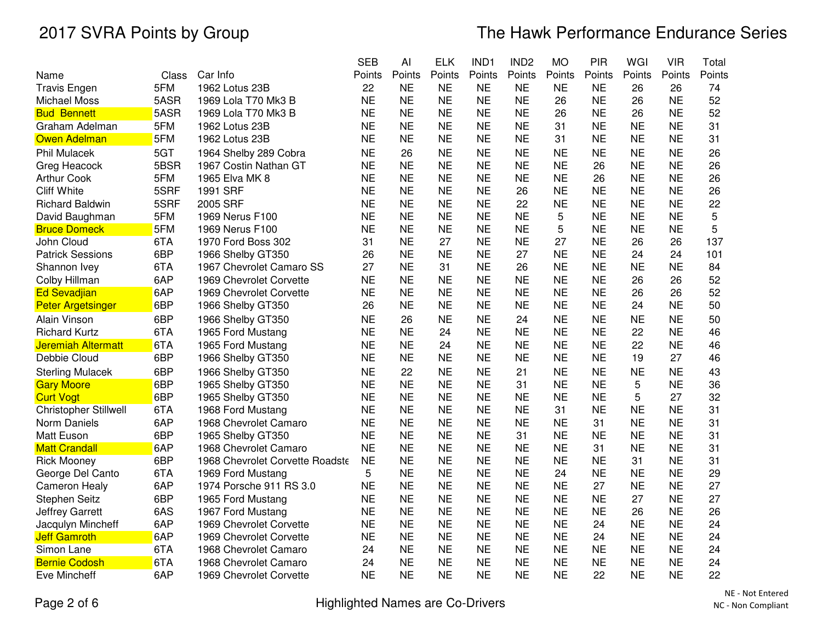|                          |       |                                 | <b>SEB</b> | AI        | <b>ELK</b> | IND1      | IND <sub>2</sub> | <b>MO</b> | PIR       | WGI       | <b>VIR</b> | Total  |
|--------------------------|-------|---------------------------------|------------|-----------|------------|-----------|------------------|-----------|-----------|-----------|------------|--------|
| Name                     | Class | Car Info                        | Points     | Points    | Points     | Points    | Points           | Points    | Points    | Points    | Points     | Points |
| <b>Travis Engen</b>      | 5FM   | 1962 Lotus 23B                  | 22         | <b>NE</b> | <b>NE</b>  | <b>NE</b> | <b>NE</b>        | <b>NE</b> | <b>NE</b> | 26        | 26         | 74     |
| Michael Moss             | 5ASR  | 1969 Lola T70 Mk3 B             | <b>NE</b>  | <b>NE</b> | <b>NE</b>  | <b>NE</b> | <b>NE</b>        | 26        | <b>NE</b> | 26        | <b>NE</b>  | 52     |
| <b>Bud Bennett</b>       | 5ASR  | 1969 Lola T70 Mk3 B             | <b>NE</b>  | <b>NE</b> | <b>NE</b>  | <b>NE</b> | <b>NE</b>        | 26        | <b>NE</b> | 26        | <b>NE</b>  | 52     |
| Graham Adelman           | 5FM   | 1962 Lotus 23B                  | <b>NE</b>  | <b>NE</b> | <b>NE</b>  | <b>NE</b> | <b>NE</b>        | 31        | <b>NE</b> | <b>NE</b> | <b>NE</b>  | 31     |
| <b>Owen Adelman</b>      | 5FM   | 1962 Lotus 23B                  | <b>NE</b>  | <b>NE</b> | <b>NE</b>  | <b>NE</b> | <b>NE</b>        | 31        | <b>NE</b> | <b>NE</b> | <b>NE</b>  | 31     |
| <b>Phil Mulacek</b>      | 5GT   | 1964 Shelby 289 Cobra           | <b>NE</b>  | 26        | <b>NE</b>  | <b>NE</b> | <b>NE</b>        | <b>NE</b> | <b>NE</b> | <b>NE</b> | <b>NE</b>  | 26     |
| Greg Heacock             | 5BSR  | 1967 Costin Nathan GT           | <b>NE</b>  | <b>NE</b> | <b>NE</b>  | <b>NE</b> | <b>NE</b>        | <b>NE</b> | 26        | <b>NE</b> | <b>NE</b>  | 26     |
| <b>Arthur Cook</b>       | 5FM   | 1965 Elva MK 8                  | <b>NE</b>  | <b>NE</b> | <b>NE</b>  | <b>NE</b> | <b>NE</b>        | <b>NE</b> | 26        | <b>NE</b> | <b>NE</b>  | 26     |
| <b>Cliff White</b>       | 5SRF  | 1991 SRF                        | <b>NE</b>  | <b>NE</b> | <b>NE</b>  | <b>NE</b> | 26               | <b>NE</b> | <b>NE</b> | <b>NE</b> | <b>NE</b>  | 26     |
| <b>Richard Baldwin</b>   | 5SRF  | 2005 SRF                        | <b>NE</b>  | <b>NE</b> | <b>NE</b>  | <b>NE</b> | 22               | <b>NE</b> | <b>NE</b> | <b>NE</b> | <b>NE</b>  | 22     |
| David Baughman           | 5FM   | 1969 Nerus F100                 | <b>NE</b>  | <b>NE</b> | <b>NE</b>  | <b>NE</b> | <b>NE</b>        | 5         | <b>NE</b> | <b>NE</b> | <b>NE</b>  | 5      |
| <b>Bruce Domeck</b>      | 5FM   | 1969 Nerus F100                 | <b>NE</b>  | <b>NE</b> | <b>NE</b>  | <b>NE</b> | <b>NE</b>        | 5         | <b>NE</b> | <b>NE</b> | <b>NE</b>  | 5      |
| John Cloud               | 6TA   | 1970 Ford Boss 302              | 31         | <b>NE</b> | 27         | <b>NE</b> | <b>NE</b>        | 27        | <b>NE</b> | 26        | 26         | 137    |
| <b>Patrick Sessions</b>  | 6BP   | 1966 Shelby GT350               | 26         | <b>NE</b> | <b>NE</b>  | <b>NE</b> | 27               | <b>NE</b> | <b>NE</b> | 24        | 24         | 101    |
| Shannon Ivey             | 6TA   | 1967 Chevrolet Camaro SS        | 27         | <b>NE</b> | 31         | <b>NE</b> | 26               | <b>NE</b> | <b>NE</b> | <b>NE</b> | <b>NE</b>  | 84     |
| Colby Hillman            | 6AP   | 1969 Chevrolet Corvette         | <b>NE</b>  | <b>NE</b> | <b>NE</b>  | <b>NE</b> | <b>NE</b>        | <b>NE</b> | <b>NE</b> | 26        | 26         | 52     |
| <b>Ed Sevadjian</b>      | 6AP   | 1969 Chevrolet Corvette         | <b>NE</b>  | <b>NE</b> | <b>NE</b>  | <b>NE</b> | <b>NE</b>        | <b>NE</b> | <b>NE</b> | 26        | 26         | 52     |
| <b>Peter Argetsinger</b> | 6BP   | 1966 Shelby GT350               | 26         | <b>NE</b> | <b>NE</b>  | <b>NE</b> | <b>NE</b>        | <b>NE</b> | <b>NE</b> | 24        | <b>NE</b>  | 50     |
| Alain Vinson             | 6BP   | 1966 Shelby GT350               | <b>NE</b>  | 26        | <b>NE</b>  | <b>NE</b> | 24               | <b>NE</b> | <b>NE</b> | NE        | <b>NE</b>  | 50     |
| <b>Richard Kurtz</b>     | 6TA   | 1965 Ford Mustang               | <b>NE</b>  | <b>NE</b> | 24         | <b>NE</b> | <b>NE</b>        | <b>NE</b> | <b>NE</b> | 22        | <b>NE</b>  | 46     |
| Jeremiah Altermatt       | 6TA   | 1965 Ford Mustang               | <b>NE</b>  | <b>NE</b> | 24         | <b>NE</b> | <b>NE</b>        | <b>NE</b> | <b>NE</b> | 22        | <b>NE</b>  | 46     |
| Debbie Cloud             | 6BP   | 1966 Shelby GT350               | <b>NE</b>  | <b>NE</b> | <b>NE</b>  | <b>NE</b> | <b>NE</b>        | <b>NE</b> | <b>NE</b> | 19        | 27         | 46     |
| <b>Sterling Mulacek</b>  | 6BP   | 1966 Shelby GT350               | <b>NE</b>  | 22        | <b>NE</b>  | <b>NE</b> | 21               | <b>NE</b> | <b>NE</b> | <b>NE</b> | <b>NE</b>  | 43     |
| <b>Gary Moore</b>        | 6BP   | 1965 Shelby GT350               | <b>NE</b>  | <b>NE</b> | <b>NE</b>  | <b>NE</b> | 31               | <b>NE</b> | <b>NE</b> | 5         | <b>NE</b>  | 36     |
| <b>Curt Vogt</b>         | 6BP   | 1965 Shelby GT350               | <b>NE</b>  | <b>NE</b> | <b>NE</b>  | <b>NE</b> | <b>NE</b>        | <b>NE</b> | <b>NE</b> | 5         | 27         | 32     |
| Christopher Stillwell    | 6TA   | 1968 Ford Mustang               | <b>NE</b>  | <b>NE</b> | <b>NE</b>  | <b>NE</b> | <b>NE</b>        | 31        | <b>NE</b> | <b>NE</b> | <b>NE</b>  | 31     |
| Norm Daniels             | 6AP   | 1968 Chevrolet Camaro           | <b>NE</b>  | <b>NE</b> | <b>NE</b>  | <b>NE</b> | <b>NE</b>        | <b>NE</b> | 31        | <b>NE</b> | <b>NE</b>  | 31     |
| <b>Matt Euson</b>        | 6BP   | 1965 Shelby GT350               | <b>NE</b>  | <b>NE</b> | <b>NE</b>  | <b>NE</b> | 31               | <b>NE</b> | <b>NE</b> | <b>NE</b> | <b>NE</b>  | 31     |
| <b>Matt Crandall</b>     | 6AP   | 1968 Chevrolet Camaro           | <b>NE</b>  | <b>NE</b> | <b>NE</b>  | <b>NE</b> | <b>NE</b>        | <b>NE</b> | 31        | <b>NE</b> | <b>NE</b>  | 31     |
| <b>Rick Mooney</b>       | 6BP   | 1968 Chevrolet Corvette Roadste | <b>NE</b>  | <b>NE</b> | <b>NE</b>  | <b>NE</b> | <b>NE</b>        | <b>NE</b> | <b>NE</b> | 31        | <b>NE</b>  | 31     |
| George Del Canto         | 6TA   | 1969 Ford Mustang               | 5          | <b>NE</b> | <b>NE</b>  | <b>NE</b> | <b>NE</b>        | 24        | <b>NE</b> | NE        | <b>NE</b>  | 29     |
| <b>Cameron Healy</b>     | 6AP   | 1974 Porsche 911 RS 3.0         | <b>NE</b>  | <b>NE</b> | <b>NE</b>  | <b>NE</b> | <b>NE</b>        | <b>NE</b> | 27        | <b>NE</b> | <b>NE</b>  | 27     |
| Stephen Seitz            | 6BP   | 1965 Ford Mustang               | <b>NE</b>  | <b>NE</b> | <b>NE</b>  | <b>NE</b> | <b>NE</b>        | <b>NE</b> | <b>NE</b> | 27        | <b>NE</b>  | 27     |
| Jeffrey Garrett          | 6AS   | 1967 Ford Mustang               | <b>NE</b>  | <b>NE</b> | <b>NE</b>  | <b>NE</b> | <b>NE</b>        | <b>NE</b> | <b>NE</b> | 26        | <b>NE</b>  | 26     |
| Jacqulyn Mincheff        | 6AP   | 1969 Chevrolet Corvette         | <b>NE</b>  | <b>NE</b> | <b>NE</b>  | <b>NE</b> | <b>NE</b>        | <b>NE</b> | 24        | <b>NE</b> | <b>NE</b>  | 24     |
| <b>Jeff Gamroth</b>      | 6AP   | 1969 Chevrolet Corvette         | <b>NE</b>  | <b>NE</b> | <b>NE</b>  | <b>NE</b> | <b>NE</b>        | <b>NE</b> | 24        | <b>NE</b> | <b>NE</b>  | 24     |
| Simon Lane               | 6TA   | 1968 Chevrolet Camaro           | 24         | <b>NE</b> | <b>NE</b>  | <b>NE</b> | <b>NE</b>        | <b>NE</b> | <b>NE</b> | <b>NE</b> | <b>NE</b>  | 24     |
| <b>Bernie Codosh</b>     | 6TA   | 1968 Chevrolet Camaro           | 24         | <b>NE</b> | <b>NE</b>  | <b>NE</b> | <b>NE</b>        | <b>NE</b> | <b>NE</b> | <b>NE</b> | <b>NE</b>  | 24     |
| Eve Mincheff             | 6AP   | 1969 Chevrolet Corvette         | <b>NE</b>  | <b>NE</b> | <b>NE</b>  | <b>NE</b> | <b>NE</b>        | <b>NE</b> | 22        | <b>NE</b> | <b>NE</b>  | 22     |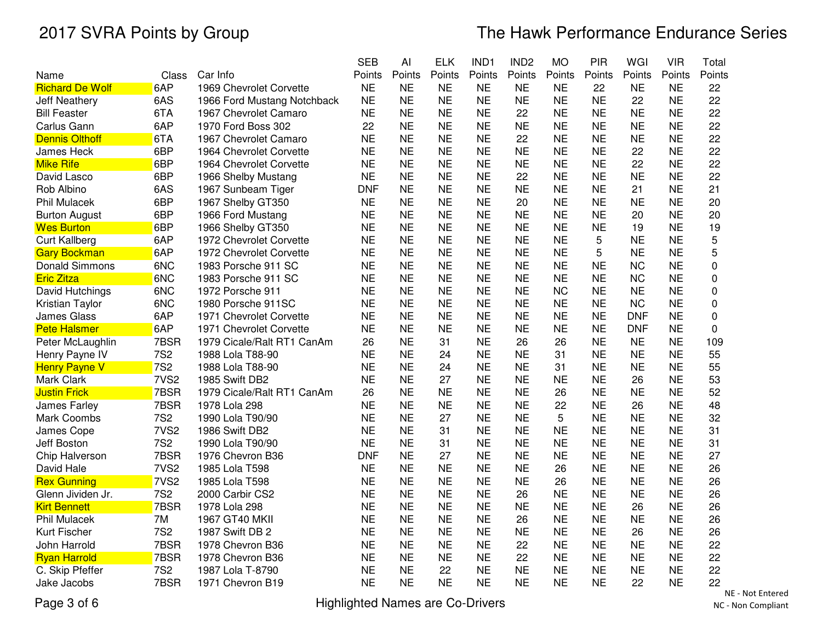|                        |                  |                             | <b>SEB</b> | Al        | <b>ELK</b> | IND1      | IND <sub>2</sub> | <b>MO</b> | PIR       | WGI        | <b>VIR</b> | Total       |
|------------------------|------------------|-----------------------------|------------|-----------|------------|-----------|------------------|-----------|-----------|------------|------------|-------------|
| Name                   | Class            | Car Info                    | Points     | Points    | Points     | Points    | Points           | Points    | Points    | Points     | Points     | Points      |
| <b>Richard De Wolf</b> | 6AP              | 1969 Chevrolet Corvette     | <b>NE</b>  | <b>NE</b> | <b>NE</b>  | <b>NE</b> | <b>NE</b>        | <b>NE</b> | 22        | <b>NE</b>  | <b>NE</b>  | 22          |
| <b>Jeff Neathery</b>   | 6AS              | 1966 Ford Mustang Notchback | <b>NE</b>  | <b>NE</b> | <b>NE</b>  | <b>NE</b> | <b>NE</b>        | <b>NE</b> | <b>NE</b> | 22         | <b>NE</b>  | 22          |
| Bill Feaster           | 6TA              | 1967 Chevrolet Camaro       | <b>NE</b>  | <b>NE</b> | <b>NE</b>  | <b>NE</b> | 22               | <b>NE</b> | <b>NE</b> | <b>NE</b>  | <b>NE</b>  | 22          |
| Carlus Gann            | 6AP              | 1970 Ford Boss 302          | 22         | <b>NE</b> | <b>NE</b>  | <b>NE</b> | <b>NE</b>        | <b>NE</b> | <b>NE</b> | <b>NE</b>  | <b>NE</b>  | 22          |
| <b>Dennis Olthoff</b>  | 6TA              | 1967 Chevrolet Camaro       | <b>NE</b>  | <b>NE</b> | <b>NE</b>  | <b>NE</b> | 22               | <b>NE</b> | <b>NE</b> | <b>NE</b>  | <b>NE</b>  | 22          |
| James Heck             | 6BP              | 1964 Chevrolet Corvette     | <b>NE</b>  | <b>NE</b> | <b>NE</b>  | <b>NE</b> | <b>NE</b>        | <b>NE</b> | <b>NE</b> | 22         | <b>NE</b>  | 22          |
| <b>Mike Rife</b>       | 6BP              | 1964 Chevrolet Corvette     | <b>NE</b>  | <b>NE</b> | <b>NE</b>  | <b>NE</b> | <b>NE</b>        | <b>NE</b> | <b>NE</b> | 22         | <b>NE</b>  | 22          |
| David Lasco            | 6BP              | 1966 Shelby Mustang         | <b>NE</b>  | <b>NE</b> | <b>NE</b>  | <b>NE</b> | 22               | <b>NE</b> | <b>NE</b> | <b>NE</b>  | <b>NE</b>  | 22          |
| Rob Albino             | 6AS              | 1967 Sunbeam Tiger          | <b>DNF</b> | <b>NE</b> | <b>NE</b>  | <b>NE</b> | <b>NE</b>        | <b>NE</b> | <b>NE</b> | 21         | <b>NE</b>  | 21          |
| <b>Phil Mulacek</b>    | 6BP              | 1967 Shelby GT350           | <b>NE</b>  | <b>NE</b> | <b>NE</b>  | <b>NE</b> | 20               | <b>NE</b> | <b>NE</b> | <b>NE</b>  | <b>NE</b>  | 20          |
| <b>Burton August</b>   | 6BP              | 1966 Ford Mustang           | <b>NE</b>  | <b>NE</b> | <b>NE</b>  | <b>NE</b> | <b>NE</b>        | <b>NE</b> | <b>NE</b> | 20         | <b>NE</b>  | 20          |
| <b>Wes Burton</b>      | 6BP              | 1966 Shelby GT350           | <b>NE</b>  | <b>NE</b> | <b>NE</b>  | <b>NE</b> | <b>NE</b>        | <b>NE</b> | <b>NE</b> | 19         | <b>NE</b>  | 19          |
| <b>Curt Kallberg</b>   | 6AP              | 1972 Chevrolet Corvette     | <b>NE</b>  | <b>NE</b> | <b>NE</b>  | <b>NE</b> | <b>NE</b>        | <b>NE</b> | 5         | <b>NE</b>  | <b>NE</b>  | 5           |
| <b>Gary Bockman</b>    | 6AP              | 1972 Chevrolet Corvette     | <b>NE</b>  | <b>NE</b> | <b>NE</b>  | <b>NE</b> | <b>NE</b>        | <b>NE</b> | 5         | <b>NE</b>  | <b>NE</b>  | 5           |
| Donald Simmons         | 6NC              | 1983 Porsche 911 SC         | <b>NE</b>  | <b>NE</b> | <b>NE</b>  | <b>NE</b> | <b>NE</b>        | <b>NE</b> | <b>NE</b> | <b>NC</b>  | <b>NE</b>  | $\mathbf 0$ |
| <b>Eric Zitza</b>      | 6NC              | 1983 Porsche 911 SC         | <b>NE</b>  | <b>NE</b> | <b>NE</b>  | <b>NE</b> | <b>NE</b>        | <b>NE</b> | <b>NE</b> | <b>NC</b>  | <b>NE</b>  | 0           |
| David Hutchings        | 6NC              | 1972 Porsche 911            | <b>NE</b>  | <b>NE</b> | <b>NE</b>  | <b>NE</b> | <b>NE</b>        | <b>NC</b> | <b>NE</b> | <b>NE</b>  | <b>NE</b>  | $\mathbf 0$ |
| Kristian Taylor        | 6NC              | 1980 Porsche 911SC          | <b>NE</b>  | <b>NE</b> | <b>NE</b>  | <b>NE</b> | <b>NE</b>        | <b>NE</b> | <b>NE</b> | <b>NC</b>  | <b>NE</b>  | $\mathbf 0$ |
| James Glass            | 6AP              | 1971 Chevrolet Corvette     | <b>NE</b>  | <b>NE</b> | <b>NE</b>  | <b>NE</b> | <b>NE</b>        | <b>NE</b> | <b>NE</b> | <b>DNF</b> | <b>NE</b>  | $\mathbf 0$ |
| <b>Pete Halsmer</b>    | 6AP              | 1971 Chevrolet Corvette     | <b>NE</b>  | <b>NE</b> | <b>NE</b>  | <b>NE</b> | <b>NE</b>        | <b>NE</b> | <b>NE</b> | <b>DNF</b> | <b>NE</b>  | $\mathbf 0$ |
| Peter McLaughlin       | 7BSR             | 1979 Cicale/Ralt RT1 CanAm  | 26         | <b>NE</b> | 31         | <b>NE</b> | 26               | 26        | <b>NE</b> | <b>NE</b>  | <b>NE</b>  | 109         |
| Henry Payne IV         | <b>7S2</b>       | 1988 Lola T88-90            | <b>NE</b>  | <b>NE</b> | 24         | <b>NE</b> | <b>NE</b>        | 31        | <b>NE</b> | <b>NE</b>  | <b>NE</b>  | 55          |
| <b>Henry Payne V</b>   | <b>7S2</b>       | 1988 Lola T88-90            | <b>NE</b>  | <b>NE</b> | 24         | <b>NE</b> | <b>NE</b>        | 31        | <b>NE</b> | <b>NE</b>  | <b>NE</b>  | 55          |
| Mark Clark             | 7VS <sub>2</sub> | 1985 Swift DB2              | <b>NE</b>  | <b>NE</b> | 27         | <b>NE</b> | <b>NE</b>        | <b>NE</b> | <b>NE</b> | 26         | <b>NE</b>  | 53          |
| <b>Justin Frick</b>    | 7BSR             | 1979 Cicale/Ralt RT1 CanAm  | 26         | <b>NE</b> | <b>NE</b>  | <b>NE</b> | <b>NE</b>        | 26        | <b>NE</b> | <b>NE</b>  | <b>NE</b>  | 52          |
| James Farley           | 7BSR             | 1978 Lola 298               | <b>NE</b>  | <b>NE</b> | <b>NE</b>  | <b>NE</b> | <b>NE</b>        | 22        | <b>NE</b> | 26         | <b>NE</b>  | 48          |
| Mark Coombs            | <b>7S2</b>       | 1990 Lola T90/90            | <b>NE</b>  | <b>NE</b> | 27         | <b>NE</b> | <b>NE</b>        | 5         | <b>NE</b> | <b>NE</b>  | <b>NE</b>  | 32          |
| James Cope             | 7VS <sub>2</sub> | 1986 Swift DB2              | <b>NE</b>  | <b>NE</b> | 31         | <b>NE</b> | <b>NE</b>        | <b>NE</b> | <b>NE</b> | <b>NE</b>  | <b>NE</b>  | 31          |
| Jeff Boston            | <b>7S2</b>       | 1990 Lola T90/90            | <b>NE</b>  | <b>NE</b> | 31         | <b>NE</b> | <b>NE</b>        | <b>NE</b> | <b>NE</b> | <b>NE</b>  | <b>NE</b>  | 31          |
| Chip Halverson         | 7BSR             | 1976 Chevron B36            | <b>DNF</b> | <b>NE</b> | 27         | <b>NE</b> | <b>NE</b>        | <b>NE</b> | <b>NE</b> | <b>NE</b>  | <b>NE</b>  | 27          |
| David Hale             | 7VS <sub>2</sub> | 1985 Lola T598              | <b>NE</b>  | <b>NE</b> | <b>NE</b>  | <b>NE</b> | <b>NE</b>        | 26        | <b>NE</b> | <b>NE</b>  | <b>NE</b>  | 26          |
| <b>Rex Gunning</b>     | 7VS <sub>2</sub> | 1985 Lola T598              | <b>NE</b>  | <b>NE</b> | <b>NE</b>  | <b>NE</b> | <b>NE</b>        | 26        | <b>NE</b> | <b>NE</b>  | <b>NE</b>  | 26          |
| Glenn Jividen Jr.      | <b>7S2</b>       | 2000 Carbir CS2             | <b>NE</b>  | <b>NE</b> | <b>NE</b>  | <b>NE</b> | 26               | <b>NE</b> | <b>NE</b> | <b>NE</b>  | <b>NE</b>  | 26          |
| <b>Kirt Bennett</b>    | 7BSR             | 1978 Lola 298               | <b>NE</b>  | <b>NE</b> | <b>NE</b>  | <b>NE</b> | <b>NE</b>        | <b>NE</b> | <b>NE</b> | 26         | <b>NE</b>  | 26          |
| <b>Phil Mulacek</b>    | 7M               | 1967 GT40 MKII              | <b>NE</b>  | <b>NE</b> | <b>NE</b>  | <b>NE</b> | 26               | <b>NE</b> | <b>NE</b> | <b>NE</b>  | <b>NE</b>  | 26          |
| Kurt Fischer           | <b>7S2</b>       | 1987 Swift DB 2             | <b>NE</b>  | <b>NE</b> | <b>NE</b>  | <b>NE</b> | <b>NE</b>        | <b>NE</b> | <b>NE</b> | 26         | <b>NE</b>  | 26          |
| John Harrold           | 7BSR             | 1978 Chevron B36            | <b>NE</b>  | <b>NE</b> | <b>NE</b>  | <b>NE</b> | 22               | <b>NE</b> | <b>NE</b> | <b>NE</b>  | <b>NE</b>  | 22          |
| <b>Ryan Harrold</b>    | 7BSR             | 1978 Chevron B36            | <b>NE</b>  | <b>NE</b> | <b>NE</b>  | <b>NE</b> | 22               | <b>NE</b> | <b>NE</b> | <b>NE</b>  | <b>NE</b>  | 22          |
| C. Skip Pfeffer        | <b>7S2</b>       | 1987 Lola T-8790            | <b>NE</b>  | <b>NE</b> | 22         | <b>NE</b> | <b>NE</b>        | <b>NE</b> | <b>NE</b> | <b>NE</b>  | <b>NE</b>  | 22          |
| Jake Jacobs            | 7BSR             | 1971 Chevron B19            | <b>NE</b>  | <b>NE</b> | <b>NE</b>  | <b>NE</b> | <b>NE</b>        | <b>NE</b> | <b>NE</b> | 22         | <b>NE</b>  | 22          |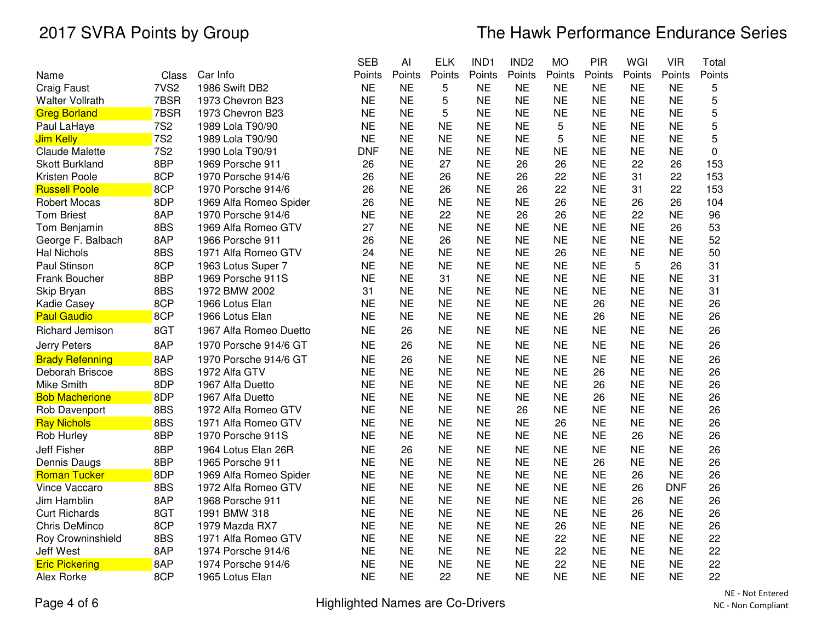|                        |                  |                        | <b>SEB</b> | Al        | <b>ELK</b> | IND1      | IND <sub>2</sub> | <b>MO</b> | PIR       | WGI       | <b>VIR</b> | Total  |
|------------------------|------------------|------------------------|------------|-----------|------------|-----------|------------------|-----------|-----------|-----------|------------|--------|
| Name                   | Class            | Car Info               | Points     | Points    | Points     | Points    | Points           | Points    | Points    | Points    | Points     | Points |
| <b>Craig Faust</b>     | 7VS <sub>2</sub> | 1986 Swift DB2         | <b>NE</b>  | <b>NE</b> | 5          | <b>NE</b> | <b>NE</b>        | <b>NE</b> | <b>NE</b> | <b>NE</b> | <b>NE</b>  | 5      |
| Walter Vollrath        | 7BSR             | 1973 Chevron B23       | <b>NE</b>  | <b>NE</b> | 5          | <b>NE</b> | <b>NE</b>        | <b>NE</b> | <b>NE</b> | <b>NE</b> | <b>NE</b>  | 5      |
| <b>Greg Borland</b>    | 7BSR             | 1973 Chevron B23       | <b>NE</b>  | <b>NE</b> | 5          | <b>NE</b> | <b>NE</b>        | <b>NE</b> | <b>NE</b> | <b>NE</b> | <b>NE</b>  | 5      |
| Paul LaHaye            | <b>7S2</b>       | 1989 Lola T90/90       | <b>NE</b>  | <b>NE</b> | <b>NE</b>  | <b>NE</b> | <b>NE</b>        | 5         | <b>NE</b> | <b>NE</b> | <b>NE</b>  | 5      |
| Jim Kelly              | <b>7S2</b>       | 1989 Lola T90/90       | <b>NE</b>  | <b>NE</b> | <b>NE</b>  | <b>NE</b> | <b>NE</b>        | 5         | <b>NE</b> | <b>NE</b> | <b>NE</b>  | 5      |
| <b>Claude Malette</b>  | <b>7S2</b>       | 1990 Lola T90/91       | <b>DNF</b> | <b>NE</b> | <b>NE</b>  | <b>NE</b> | <b>NE</b>        | <b>NE</b> | <b>NE</b> | <b>NE</b> | <b>NE</b>  | 0      |
| <b>Skott Burkland</b>  | 8BP              | 1969 Porsche 911       | 26         | <b>NE</b> | 27         | <b>NE</b> | 26               | 26        | <b>NE</b> | 22        | 26         | 153    |
| Kristen Poole          | 8CP              | 1970 Porsche 914/6     | 26         | <b>NE</b> | 26         | <b>NE</b> | 26               | 22        | <b>NE</b> | 31        | 22         | 153    |
| <b>Russell Poole</b>   | 8CP              | 1970 Porsche 914/6     | 26         | <b>NE</b> | 26         | <b>NE</b> | 26               | 22        | <b>NE</b> | 31        | 22         | 153    |
| <b>Robert Mocas</b>    | 8DP              | 1969 Alfa Romeo Spider | 26         | <b>NE</b> | <b>NE</b>  | <b>NE</b> | <b>NE</b>        | 26        | <b>NE</b> | 26        | 26         | 104    |
| <b>Tom Briest</b>      | 8AP              | 1970 Porsche 914/6     | <b>NE</b>  | <b>NE</b> | 22         | <b>NE</b> | 26               | 26        | <b>NE</b> | 22        | <b>NE</b>  | 96     |
| Tom Benjamin           | 8BS              | 1969 Alfa Romeo GTV    | 27         | <b>NE</b> | <b>NE</b>  | <b>NE</b> | <b>NE</b>        | <b>NE</b> | <b>NE</b> | <b>NE</b> | 26         | 53     |
| George F. Balbach      | 8AP              | 1966 Porsche 911       | 26         | <b>NE</b> | 26         | <b>NE</b> | <b>NE</b>        | <b>NE</b> | <b>NE</b> | <b>NE</b> | <b>NE</b>  | 52     |
| <b>Hal Nichols</b>     | 8BS              | 1971 Alfa Romeo GTV    | 24         | <b>NE</b> | <b>NE</b>  | <b>NE</b> | <b>NE</b>        | 26        | <b>NE</b> | <b>NE</b> | <b>NE</b>  | 50     |
| Paul Stinson           | 8CP              | 1963 Lotus Super 7     | <b>NE</b>  | <b>NE</b> | <b>NE</b>  | <b>NE</b> | <b>NE</b>        | <b>NE</b> | <b>NE</b> | 5         | 26         | 31     |
| Frank Boucher          | 8BP              | 1969 Porsche 911S      | <b>NE</b>  | <b>NE</b> | 31         | <b>NE</b> | <b>NE</b>        | <b>NE</b> | <b>NE</b> | <b>NE</b> | <b>NE</b>  | 31     |
| Skip Bryan             | 8BS              | 1972 BMW 2002          | 31         | <b>NE</b> | <b>NE</b>  | <b>NE</b> | <b>NE</b>        | <b>NE</b> | <b>NE</b> | <b>NE</b> | <b>NE</b>  | 31     |
| Kadie Casey            | 8CP              | 1966 Lotus Elan        | <b>NE</b>  | <b>NE</b> | <b>NE</b>  | <b>NE</b> | <b>NE</b>        | <b>NE</b> | 26        | <b>NE</b> | <b>NE</b>  | 26     |
| <b>Paul Gaudio</b>     | 8CP              | 1966 Lotus Elan        | <b>NE</b>  | <b>NE</b> | <b>NE</b>  | <b>NE</b> | <b>NE</b>        | <b>NE</b> | 26        | <b>NE</b> | <b>NE</b>  | 26     |
| Richard Jemison        | 8GT              | 1967 Alfa Romeo Duetto | <b>NE</b>  | 26        | <b>NE</b>  | <b>NE</b> | <b>NE</b>        | <b>NE</b> | <b>NE</b> | <b>NE</b> | <b>NE</b>  | 26     |
| Jerry Peters           | 8AP              | 1970 Porsche 914/6 GT  | <b>NE</b>  | 26        | <b>NE</b>  | <b>NE</b> | <b>NE</b>        | <b>NE</b> | <b>NE</b> | <b>NE</b> | <b>NE</b>  | 26     |
| <b>Brady Refenning</b> | 8AP              | 1970 Porsche 914/6 GT  | <b>NE</b>  | 26        | <b>NE</b>  | <b>NE</b> | <b>NE</b>        | <b>NE</b> | <b>NE</b> | <b>NE</b> | <b>NE</b>  | 26     |
| Deborah Briscoe        | 8BS              | 1972 Alfa GTV          | <b>NE</b>  | <b>NE</b> | <b>NE</b>  | <b>NE</b> | <b>NE</b>        | <b>NE</b> | 26        | <b>NE</b> | <b>NE</b>  | 26     |
| Mike Smith             | 8DP              | 1967 Alfa Duetto       | <b>NE</b>  | <b>NE</b> | <b>NE</b>  | <b>NE</b> | <b>NE</b>        | <b>NE</b> | 26        | <b>NE</b> | <b>NE</b>  | 26     |
| <b>Bob Macherione</b>  | 8DP              | 1967 Alfa Duetto       | <b>NE</b>  | <b>NE</b> | <b>NE</b>  | <b>NE</b> | <b>NE</b>        | <b>NE</b> | 26        | <b>NE</b> | <b>NE</b>  | 26     |
| Rob Davenport          | 8BS              | 1972 Alfa Romeo GTV    | <b>NE</b>  | <b>NE</b> | <b>NE</b>  | <b>NE</b> | 26               | <b>NE</b> | <b>NE</b> | <b>NE</b> | <b>NE</b>  | 26     |
| <b>Ray Nichols</b>     | 8BS              | 1971 Alfa Romeo GTV    | <b>NE</b>  | <b>NE</b> | <b>NE</b>  | <b>NE</b> | <b>NE</b>        | 26        | <b>NE</b> | <b>NE</b> | <b>NE</b>  | 26     |
| Rob Hurley             | 8BP              | 1970 Porsche 911S      | <b>NE</b>  | <b>NE</b> | <b>NE</b>  | <b>NE</b> | <b>NE</b>        | <b>NE</b> | <b>NE</b> | 26        | <b>NE</b>  | 26     |
| <b>Jeff Fisher</b>     | 8BP              | 1964 Lotus Elan 26R    | <b>NE</b>  | 26        | <b>NE</b>  | <b>NE</b> | <b>NE</b>        | <b>NE</b> | <b>NE</b> | <b>NE</b> | <b>NE</b>  | 26     |
| Dennis Daugs           | 8BP              | 1965 Porsche 911       | <b>NE</b>  | <b>NE</b> | <b>NE</b>  | <b>NE</b> | <b>NE</b>        | <b>NE</b> | 26        | <b>NE</b> | <b>NE</b>  | 26     |
| <b>Roman Tucker</b>    | 8DP              | 1969 Alfa Romeo Spider | <b>NE</b>  | <b>NE</b> | <b>NE</b>  | <b>NE</b> | <b>NE</b>        | <b>NE</b> | <b>NE</b> | 26        | <b>NE</b>  | 26     |
| Vince Vaccaro          | 8BS              | 1972 Alfa Romeo GTV    | <b>NE</b>  | <b>NE</b> | <b>NE</b>  | <b>NE</b> | <b>NE</b>        | <b>NE</b> | <b>NE</b> | 26        | <b>DNF</b> | 26     |
| Jim Hamblin            | 8AP              | 1968 Porsche 911       | <b>NE</b>  | <b>NE</b> | <b>NE</b>  | <b>NE</b> | <b>NE</b>        | <b>NE</b> | <b>NE</b> | 26        | <b>NE</b>  | 26     |
| <b>Curt Richards</b>   | 8GT              | 1991 BMW 318           | <b>NE</b>  | <b>NE</b> | <b>NE</b>  | <b>NE</b> | <b>NE</b>        | <b>NE</b> | <b>NE</b> | 26        | <b>NE</b>  | 26     |
| Chris DeMinco          | 8CP              | 1979 Mazda RX7         | <b>NE</b>  | <b>NE</b> | <b>NE</b>  | <b>NE</b> | <b>NE</b>        | 26        | <b>NE</b> | <b>NE</b> | <b>NE</b>  | 26     |
| Roy Crowninshield      | 8BS              | 1971 Alfa Romeo GTV    | <b>NE</b>  | <b>NE</b> | <b>NE</b>  | <b>NE</b> | <b>NE</b>        | 22        | <b>NE</b> | <b>NE</b> | <b>NE</b>  | 22     |
| <b>Jeff West</b>       | 8AP              | 1974 Porsche 914/6     | <b>NE</b>  | <b>NE</b> | <b>NE</b>  | <b>NE</b> | <b>NE</b>        | 22        | <b>NE</b> | <b>NE</b> | <b>NE</b>  | 22     |
| <b>Eric Pickering</b>  | 8AP              | 1974 Porsche 914/6     | <b>NE</b>  | <b>NE</b> | <b>NE</b>  | <b>NE</b> | <b>NE</b>        | 22        | <b>NE</b> | <b>NE</b> | <b>NE</b>  | 22     |
| Alex Rorke             | 8CP              | 1965 Lotus Elan        | <b>NE</b>  | <b>NE</b> | 22         | <b>NE</b> | <b>NE</b>        | <b>NE</b> | <b>NE</b> | <b>NE</b> | <b>NE</b>  | 22     |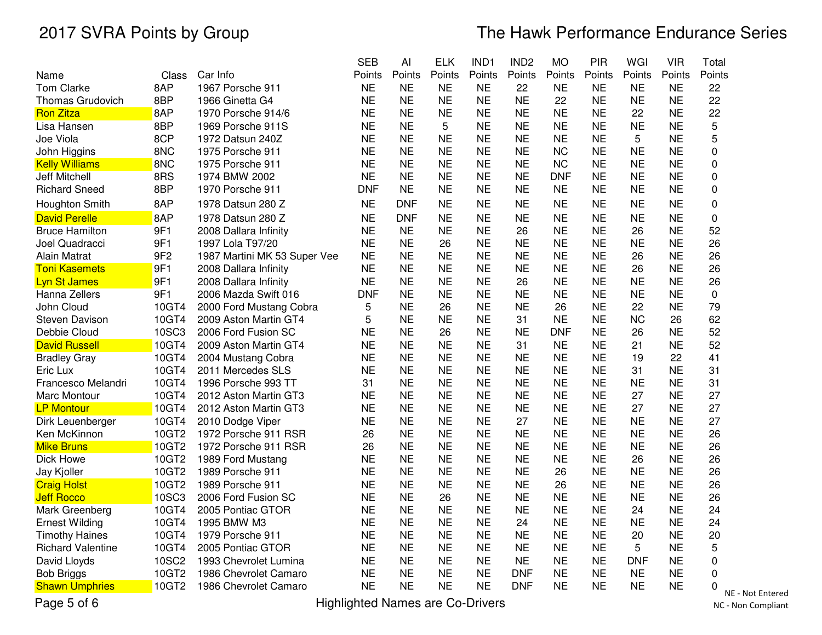|                          |                 |                              | <b>SEB</b> | Al         | <b>ELK</b> | IND1      | IND <sub>2</sub> | <b>MO</b>  | PIR       | WGI        | <b>VIR</b> | Total       |
|--------------------------|-----------------|------------------------------|------------|------------|------------|-----------|------------------|------------|-----------|------------|------------|-------------|
| Name                     | Class           | Car Info                     | Points     | Points     | Points     | Points    | Points           | Points     | Points    | Points     | Points     | Points      |
| <b>Tom Clarke</b>        | 8AP             | 1967 Porsche 911             | <b>NE</b>  | <b>NE</b>  | <b>NE</b>  | NE        | 22               | <b>NE</b>  | NE        | NE         | <b>NE</b>  | 22          |
| <b>Thomas Grudovich</b>  | 8BP             | 1966 Ginetta G4              | <b>NE</b>  | <b>NE</b>  | <b>NE</b>  | <b>NE</b> | <b>NE</b>        | 22         | <b>NE</b> | <b>NE</b>  | <b>NE</b>  | 22          |
| <b>Ron Zitza</b>         | 8AP             | 1970 Porsche 914/6           | <b>NE</b>  | <b>NE</b>  | <b>NE</b>  | <b>NE</b> | <b>NE</b>        | <b>NE</b>  | <b>NE</b> | 22         | <b>NE</b>  | 22          |
| Lisa Hansen              | 8BP             | 1969 Porsche 911S            | <b>NE</b>  | <b>NE</b>  | 5          | <b>NE</b> | <b>NE</b>        | <b>NE</b>  | <b>NE</b> | <b>NE</b>  | <b>NE</b>  | 5           |
| Joe Viola                | 8CP             | 1972 Datsun 240Z             | <b>NE</b>  | <b>NE</b>  | <b>NE</b>  | <b>NE</b> | <b>NE</b>        | <b>NE</b>  | <b>NE</b> | 5          | <b>NE</b>  | 5           |
| John Higgins             | 8NC             | 1975 Porsche 911             | <b>NE</b>  | <b>NE</b>  | <b>NE</b>  | <b>NE</b> | <b>NE</b>        | <b>NC</b>  | <b>NE</b> | <b>NE</b>  | <b>NE</b>  | 0           |
| <b>Kelly Williams</b>    | 8NC             | 1975 Porsche 911             | <b>NE</b>  | <b>NE</b>  | <b>NE</b>  | <b>NE</b> | <b>NE</b>        | <b>NC</b>  | <b>NE</b> | <b>NE</b>  | <b>NE</b>  | 0           |
| <b>Jeff Mitchell</b>     | 8RS             | 1974 BMW 2002                | <b>NE</b>  | <b>NE</b>  | <b>NE</b>  | <b>NE</b> | <b>NE</b>        | <b>DNF</b> | <b>NE</b> | <b>NE</b>  | <b>NE</b>  | 0           |
| <b>Richard Sneed</b>     | 8BP             | 1970 Porsche 911             | <b>DNF</b> | <b>NE</b>  | <b>NE</b>  | <b>NE</b> | <b>NE</b>        | <b>NE</b>  | <b>NE</b> | <b>NE</b>  | <b>NE</b>  | $\mathbf 0$ |
| Houghton Smith           | 8AP             | 1978 Datsun 280 Z            | <b>NE</b>  | <b>DNF</b> | <b>NE</b>  | <b>NE</b> | <b>NE</b>        | <b>NE</b>  | <b>NE</b> | <b>NE</b>  | <b>NE</b>  | 0           |
| <b>David Perelle</b>     | 8AP             | 1978 Datsun 280 Z            | <b>NE</b>  | <b>DNF</b> | <b>NE</b>  | <b>NE</b> | <b>NE</b>        | <b>NE</b>  | <b>NE</b> | <b>NE</b>  | <b>NE</b>  | $\mathbf 0$ |
| <b>Bruce Hamilton</b>    | 9F1             | 2008 Dallara Infinity        | <b>NE</b>  | <b>NE</b>  | <b>NE</b>  | <b>NE</b> | 26               | <b>NE</b>  | <b>NE</b> | 26         | <b>NE</b>  | 52          |
| Joel Quadracci           | 9F1             | 1997 Lola T97/20             | <b>NE</b>  | <b>NE</b>  | 26         | <b>NE</b> | <b>NE</b>        | <b>NE</b>  | <b>NE</b> | <b>NE</b>  | <b>NE</b>  | 26          |
| Alain Matrat             | 9F <sub>2</sub> | 1987 Martini MK 53 Super Vee | <b>NE</b>  | <b>NE</b>  | <b>NE</b>  | <b>NE</b> | <b>NE</b>        | <b>NE</b>  | <b>NE</b> | 26         | <b>NE</b>  | 26          |
| <b>Toni Kasemets</b>     | 9F1             | 2008 Dallara Infinity        | <b>NE</b>  | <b>NE</b>  | <b>NE</b>  | <b>NE</b> | <b>NE</b>        | <b>NE</b>  | <b>NE</b> | 26         | <b>NE</b>  | 26          |
| <b>Lyn St James</b>      | 9F1             | 2008 Dallara Infinity        | <b>NE</b>  | <b>NE</b>  | <b>NE</b>  | <b>NE</b> | 26               | <b>NE</b>  | <b>NE</b> | <b>NE</b>  | <b>NE</b>  | 26          |
| Hanna Zellers            | 9F1             | 2006 Mazda Swift 016         | <b>DNF</b> | <b>NE</b>  | <b>NE</b>  | <b>NE</b> | <b>NE</b>        | <b>NE</b>  | <b>NE</b> | <b>NE</b>  | <b>NE</b>  | $\mathbf 0$ |
| John Cloud               | 10GT4           | 2000 Ford Mustang Cobra      | 5          | <b>NE</b>  | 26         | <b>NE</b> | <b>NE</b>        | 26         | <b>NE</b> | 22         | <b>NE</b>  | 79          |
| Steven Davison           | 10GT4           | 2009 Aston Martin GT4        | 5          | <b>NE</b>  | <b>NE</b>  | <b>NE</b> | 31               | <b>NE</b>  | <b>NE</b> | <b>NC</b>  | 26         | 62          |
| Debbie Cloud             | 10SC3           | 2006 Ford Fusion SC          | <b>NE</b>  | <b>NE</b>  | 26         | <b>NE</b> | <b>NE</b>        | <b>DNF</b> | <b>NE</b> | 26         | <b>NE</b>  | 52          |
| <b>David Russell</b>     | 10GT4           | 2009 Aston Martin GT4        | <b>NE</b>  | <b>NE</b>  | <b>NE</b>  | <b>NE</b> | 31               | <b>NE</b>  | <b>NE</b> | 21         | <b>NE</b>  | 52          |
| <b>Bradley Gray</b>      | 10GT4           | 2004 Mustang Cobra           | <b>NE</b>  | <b>NE</b>  | <b>NE</b>  | <b>NE</b> | <b>NE</b>        | <b>NE</b>  | <b>NE</b> | 19         | 22         | 41          |
| Eric Lux                 | 10GT4           | 2011 Mercedes SLS            | NE         | <b>NE</b>  | <b>NE</b>  | <b>NE</b> | <b>NE</b>        | <b>NE</b>  | NE        | 31         | NE         | 31          |
| Francesco Melandri       | 10GT4           | 1996 Porsche 993 TT          | 31         | <b>NE</b>  | <b>NE</b>  | <b>NE</b> | <b>NE</b>        | <b>NE</b>  | <b>NE</b> | <b>NE</b>  | <b>NE</b>  | 31          |
| Marc Montour             | 10GT4           | 2012 Aston Martin GT3        | <b>NE</b>  | <b>NE</b>  | <b>NE</b>  | <b>NE</b> | <b>NE</b>        | <b>NE</b>  | <b>NE</b> | 27         | <b>NE</b>  | 27          |
| <b>LP Montour</b>        | 10GT4           | 2012 Aston Martin GT3        | <b>NE</b>  | <b>NE</b>  | <b>NE</b>  | <b>NE</b> | <b>NE</b>        | <b>NE</b>  | <b>NE</b> | 27         | <b>NE</b>  | 27          |
| Dirk Leuenberger         | 10GT4           | 2010 Dodge Viper             | <b>NE</b>  | <b>NE</b>  | <b>NE</b>  | <b>NE</b> | 27               | <b>NE</b>  | <b>NE</b> | <b>NE</b>  | <b>NE</b>  | 27          |
| Ken McKinnon             | 10GT2           | 1972 Porsche 911 RSR         | 26         | <b>NE</b>  | <b>NE</b>  | <b>NE</b> | <b>NE</b>        | <b>NE</b>  | <b>NE</b> | <b>NE</b>  | <b>NE</b>  | 26          |
| <b>Mike Bruns</b>        | 10GT2           | 1972 Porsche 911 RSR         | 26         | <b>NE</b>  | <b>NE</b>  | <b>NE</b> | <b>NE</b>        | <b>NE</b>  | <b>NE</b> | <b>NE</b>  | <b>NE</b>  | 26          |
| Dick Howe                | 10GT2           | 1989 Ford Mustang            | <b>NE</b>  | <b>NE</b>  | <b>NE</b>  | <b>NE</b> | <b>NE</b>        | <b>NE</b>  | <b>NE</b> | 26         | <b>NE</b>  | 26          |
| Jay Kjoller              | 10GT2           | 1989 Porsche 911             | <b>NE</b>  | <b>NE</b>  | <b>NE</b>  | <b>NE</b> | <b>NE</b>        | 26         | <b>NE</b> | <b>NE</b>  | <b>NE</b>  | 26          |
| <b>Craig Holst</b>       | 10GT2           | 1989 Porsche 911             | <b>NE</b>  | <b>NE</b>  | <b>NE</b>  | <b>NE</b> | <b>NE</b>        | 26         | <b>NE</b> | <b>NE</b>  | <b>NE</b>  | 26          |
| <b>Jeff Rocco</b>        | 10SC3           | 2006 Ford Fusion SC          | <b>NE</b>  | <b>NE</b>  | 26         | <b>NE</b> | <b>NE</b>        | <b>NE</b>  | <b>NE</b> | <b>NE</b>  | <b>NE</b>  | 26          |
| Mark Greenberg           | 10GT4           | 2005 Pontiac GTOR            | <b>NE</b>  | <b>NE</b>  | <b>NE</b>  | <b>NE</b> | <b>NE</b>        | <b>NE</b>  | <b>NE</b> | 24         | <b>NE</b>  | 24          |
| <b>Ernest Wilding</b>    | 10GT4           | 1995 BMW M3                  | <b>NE</b>  | <b>NE</b>  | <b>NE</b>  | <b>NE</b> | 24               | <b>NE</b>  | <b>NE</b> | <b>NE</b>  | <b>NE</b>  | 24          |
| <b>Timothy Haines</b>    | 10GT4           | 1979 Porsche 911             | <b>NE</b>  | <b>NE</b>  | <b>NE</b>  | <b>NE</b> | <b>NE</b>        | <b>NE</b>  | <b>NE</b> | 20         | <b>NE</b>  | 20          |
| <b>Richard Valentine</b> | 10GT4           | 2005 Pontiac GTOR            | <b>NE</b>  | <b>NE</b>  | <b>NE</b>  | <b>NE</b> | <b>NE</b>        | <b>NE</b>  | <b>NE</b> | 5          | <b>NE</b>  | 5           |
| David Lloyds             | 10SC2           | 1993 Chevrolet Lumina        | <b>NE</b>  | <b>NE</b>  | <b>NE</b>  | <b>NE</b> | <b>NE</b>        | <b>NE</b>  | <b>NE</b> | <b>DNF</b> | <b>NE</b>  | $\pmb{0}$   |
| <b>Bob Briggs</b>        | 10GT2           | 1986 Chevrolet Camaro        | NE         | <b>NE</b>  | <b>NE</b>  | <b>NE</b> | <b>DNF</b>       | <b>NE</b>  | <b>NE</b> | <b>NE</b>  | <b>NE</b>  | 0           |
| <b>Shawn Umphries</b>    | 10GT2           | 1986 Chevrolet Camaro        | <b>NE</b>  | <b>NE</b>  | <b>NE</b>  | <b>NE</b> | <b>DNF</b>       | <b>NE</b>  | NE        | <b>NE</b>  | <b>NE</b>  | 0           |
|                          |                 |                              |            |            |            |           |                  |            |           |            |            | N           |

Page 5 of 6

Highlighted Names are Co-Drivers